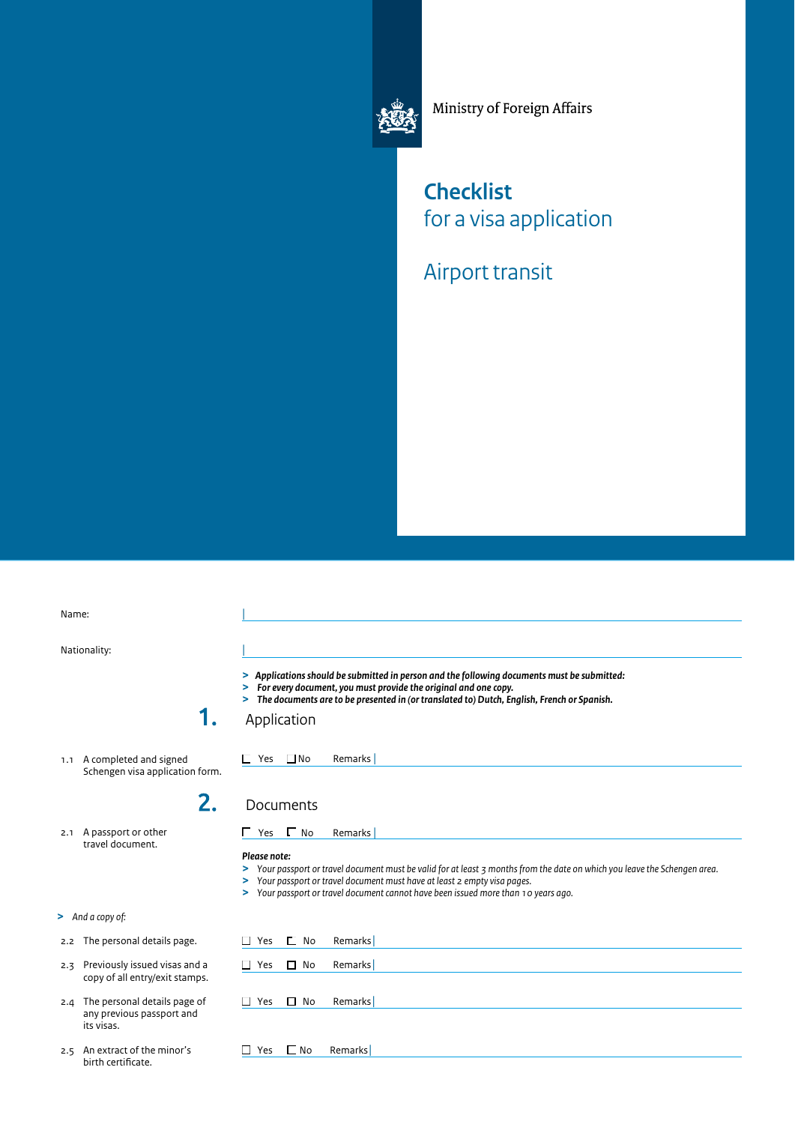

Ministry of Foreign Affairs

## **Checklist**  for a visa application

Airport transit

 1.1 A completed and signed 2.1 A passport or other  $\Box$  Yes  $\Box$  No Remarks |  $\Gamma$  No  $\Box$  No Name: Nationality: 1. Schengen visa application form. 2. travel document. **>** *And a copy of:*  2.2 The personal details page. 2.3 Previously issued visas and a copy of all entry/exit stamps. | | *> Applications should be submitted in person and the following documents must be submitted: > For every document, you must provide the original and one copy. > The documents are to be presented in (or translated to) Dutch, English, French or Spanish.*  Application Documents ■ Yes ■ No Remarks | *Please note: > Your passport or travel document must be valid for at least 3 months from the date on which you leave the Schengen area. > Your passport or travel document must have at least 2 empty visa pages. > Your passport or travel document cannot have been issued more than 10 years ago.*  □ Yes □ No Remarks □ Yes □ No Remarks

- 2.4 The personal details page of any previous passport and its visas.
- 2.5 An extract of the minor's birth certifcate.

 $\Box$  No □ Yes □ No Remarks

- -

□ Yes □ No Remarks